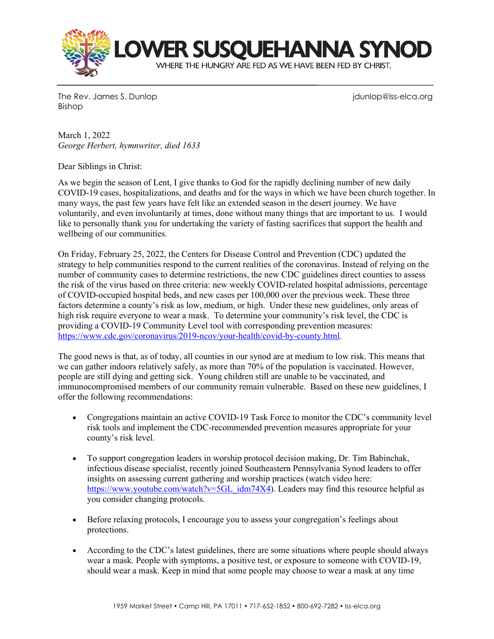

The Rev. James S. Dunlop junior in the Rev. James S. Dunlop junior in the Rev. James S. Dunlop in the Vietnam Bishop

March 1, 2022 *George Herbert, hymnwriter, died 1633*

Dear Siblings in Christ:

As we begin the season of Lent, I give thanks to God for the rapidly declining number of new daily COVID-19 cases, hospitalizations, and deaths and for the ways in which we have been church together. In many ways, the past few years have felt like an extended season in the desert journey. We have voluntarily, and even involuntarily at times, done without many things that are important to us. I would like to personally thank you for undertaking the variety of fasting sacrifices that support the health and wellbeing of our communities.

On Friday, February 25, 2022, the Centers for Disease Control and Prevention (CDC) updated the strategy to help communities respond to the current realities of the coronavirus. Instead of relying on the number of community cases to determine restrictions, the new CDC guidelines direct counties to assess the risk of the virus based on three criteria: new weekly COVID-related hospital admissions, percentage of COVID-occupied hospital beds, and new cases per 100,000 over the previous week. These three factors determine a county's risk as low, medium, or high. Under these new guidelines, only areas of high risk require everyone to wear a mask. To determine your community's risk level, the CDC is providing a COVID-19 Community Level tool with corresponding prevention measures: [https://www.cdc.gov/coronavirus/2019-ncov/your-health/covid-by-county.html.](https://www.cdc.gov/coronavirus/2019-ncov/your-health/covid-by-county.html)

The good news is that, as of today, all counties in our synod are at medium to low risk. This means that we can gather indoors relatively safely, as more than 70% of the population is vaccinated. However, people are still dying and getting sick. Young children still are unable to be vaccinated, and immunocompromised members of our community remain vulnerable. Based on these new guidelines, I offer the following recommendations:

- Congregations maintain an active COVID-19 Task Force to monitor the CDC's community level risk tools and implement the CDC-recommended prevention measures appropriate for your county's risk level.
- To support congregation leaders in worship protocol decision making, Dr. Tim Babinchak, infectious disease specialist, recently joined Southeastern Pennsylvania Synod leaders to offer insights on assessing current gathering and worship practices (watch video here: [https://www.youtube.com/watch?v=5GL\\_idm74X4\)](https://www.youtube.com/watch?v=5GL_idm74X4). Leaders may find this resource helpful as you consider changing protocols.
- Before relaxing protocols, I encourage you to assess your congregation's feelings about protections.
- According to the CDC's latest guidelines, there are some situations where people should always wear a mask. People with symptoms, a positive test, or exposure to someone with COVID-19, should wear a mask. Keep in mind that some people may choose to wear a mask at any time